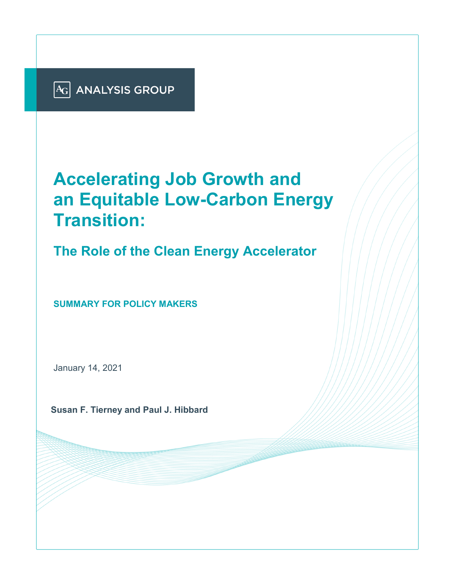

# **Accelerating Job Growth and an Equitable Low-Carbon Energy Transition:**

**The Role of the Clean Energy Accelerator**

**SUMMARY FOR POLICY MAKERS**

January 14, 2021

**Susan F. Tierney and Paul J. Hibbard**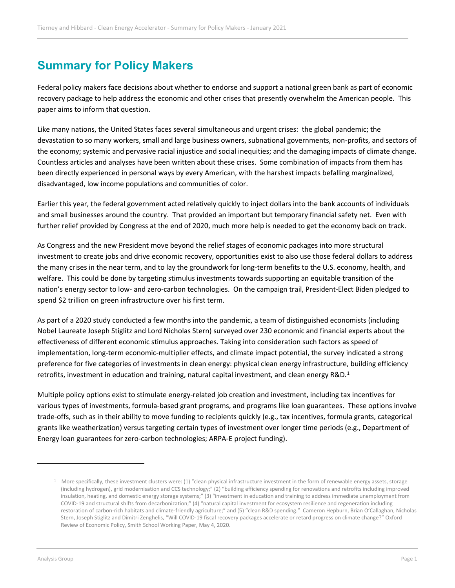# **Summary for Policy Makers**

Federal policy makers face decisions about whether to endorse and support a national green bank as part of economic recovery package to help address the economic and other crises that presently overwhelm the American people. This paper aims to inform that question.

Like many nations, the United States faces several simultaneous and urgent crises: the global pandemic; the devastation to so many workers, small and large business owners, subnational governments, non-profits, and sectors of the economy; systemic and pervasive racial injustice and social inequities; and the damaging impacts of climate change. Countless articles and analyses have been written about these crises. Some combination of impacts from them has been directly experienced in personal ways by every American, with the harshest impacts befalling marginalized, disadvantaged, low income populations and communities of color.

Earlier this year, the federal government acted relatively quickly to inject dollars into the bank accounts of individuals and small businesses around the country. That provided an important but temporary financial safety net. Even with further relief provided by Congress at the end of 2020, much more help is needed to get the economy back on track.

As Congress and the new President move beyond the relief stages of economic packages into more structural investment to create jobs and drive economic recovery, opportunities exist to also use those federal dollars to address the many crises in the near term, and to lay the groundwork for long-term benefits to the U.S. economy, health, and welfare. This could be done by targeting stimulus investments towards supporting an equitable transition of the nation's energy sector to low- and zero-carbon technologies. On the campaign trail, President-Elect Biden pledged to spend \$2 trillion on green infrastructure over his first term.

As part of a 2020 study conducted a few months into the pandemic, a team of distinguished economists (including Nobel Laureate Joseph Stiglitz and Lord Nicholas Stern) surveyed over 230 economic and financial experts about the effectiveness of different economic stimulus approaches. Taking into consideration such factors as speed of implementation, long-term economic-multiplier effects, and climate impact potential, the survey indicated a strong preference for five categories of investments in clean energy: physical clean energy infrastructure, building efficiency retrofits, investment in education and training, natural capital investment, and clean energy R&D.<sup>[1](#page-1-0)</sup>

Multiple policy options exist to stimulate energy-related job creation and investment, including tax incentives for various types of investments, formula-based grant programs, and programs like loan guarantees. These options involve trade-offs, such as in their ability to move funding to recipients quickly (e.g., tax incentives, formula grants, categorical grants like weatherization) versus targeting certain types of investment over longer time periods (e.g., Department of Energy loan guarantees for zero-carbon technologies; ARPA-E project funding).

<span id="page-1-0"></span> $\overline{a}$ 

 $1$  More specifically, these investment clusters were: (1) "clean physical infrastructure investment in the form of renewable energy assets, storage (including hydrogen), grid modernisation and CCS technology;" (2) "building efficiency spending for renovations and retrofits including improved insulation, heating, and domestic energy storage systems;" (3) "investment in education and training to address immediate unemployment from COVID-19 and structural shifts from decarbonization;" (4) "natural capital investment for ecosystem resilience and regeneration including restoration of carbon-rich habitats and climate-friendly agriculture;" and (5) "clean R&D spending." Cameron Hepburn, Brian O'Callaghan, Nicholas Stern, Joseph Stiglitz and Dimitri Zenghelis, "Will COVID-19 fiscal recovery packages accelerate or retard progress on climate change?" Oxford Review of Economic Policy, Smith School Working Paper, May 4, 2020.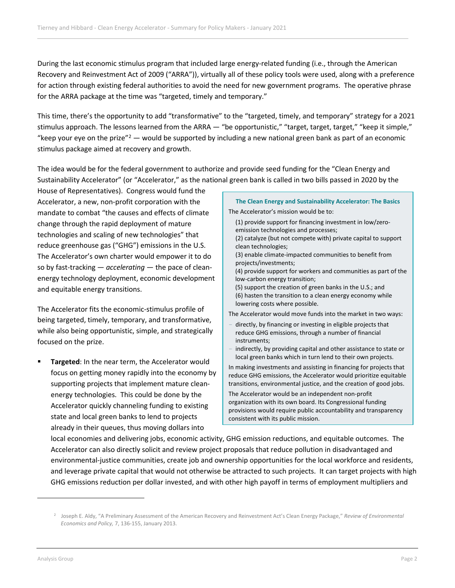During the last economic stimulus program that included large energy-related funding (i.e., through the American Recovery and Reinvestment Act of 2009 ("ARRA")), virtually all of these policy tools were used, along with a preference for action through existing federal authorities to avoid the need for new government programs. The operative phrase for the ARRA package at the time was "targeted, timely and temporary."

This time, there's the opportunity to add "transformative" to the "targeted, timely, and temporary" strategy for a 2021 stimulus approach. The lessons learned from the ARRA — "be opportunistic," "target, target, target," "keep it simple," "keep your eye on the prize" $2 2 -$  would be supported by including a new national green bank as part of an economic stimulus package aimed at recovery and growth.

The idea would be for the federal government to authorize and provide seed funding for the "Clean Energy and Sustainability Accelerator" (or "Accelerator," as the national green bank is called in two bills passed in 2020 by the

House of Representatives). Congress would fund the Accelerator, a new, non-profit corporation with the mandate to combat "the causes and effects of climate change through the rapid deployment of mature technologies and scaling of new technologies" that reduce greenhouse gas ("GHG") emissions in the U.S. The Accelerator's own charter would empower it to do so by fast-tracking — *accelerating* — the pace of cleanenergy technology deployment, economic development and equitable energy transitions.

The Accelerator fits the economic-stimulus profile of being targeted, timely, temporary, and transformative, while also being opportunistic, simple, and strategically focused on the prize.

 **Targeted**: In the near term, the Accelerator would focus on getting money rapidly into the economy by supporting projects that implement mature cleanenergy technologies. This could be done by the Accelerator quickly channeling funding to existing state and local green banks to lend to projects already in their queues, thus moving dollars into

**The Clean Energy and Sustainability Accelerator: The Basics** The Accelerator's mission would be to: (1) provide support for financing investment in low/zeroemission technologies and processes; (2) catalyze (but not compete with) private capital to support clean technologies; (3) enable climate-impacted communities to benefit from projects/investments; (4) provide support for workers and communities as part of the low-carbon energy transition; (5) support the creation of green banks in the U.S.; and (6) hasten the transition to a clean energy economy while lowering costs where possible. The Accelerator would move funds into the market in two ways: directly, by financing or investing in eligible projects that reduce GHG emissions, through a number of financial instruments; indirectly, by providing capital and other assistance to state or local green banks which in turn lend to their own projects. In making investments and assisting in financing for projects that reduce GHG emissions, the Accelerator would prioritize equitable transitions, environmental justice, and the creation of good jobs. The Accelerator would be an independent non-profit organization with its own board. Its Congressional funding provisions would require public accountability and transparency

local economies and delivering jobs, economic activity, GHG emission reductions, and equitable outcomes. The Accelerator can also directly solicit and review project proposals that reduce pollution in disadvantaged and environmental-justice communities, create job and ownership opportunities for the local workforce and residents, and leverage private capital that would not otherwise be attracted to such projects. It can target projects with high GHG emissions reduction per dollar invested, and with other high payoff in terms of employment multipliers and

consistent with its public mission.

<span id="page-2-0"></span>

<sup>2</sup> Joseph E. Aldy, "A Preliminary Assessment of the American Recovery and Reinvestment Act's Clean Energy Package," *Review of Environmental Economics and Policy,* 7, 136-155, January 2013.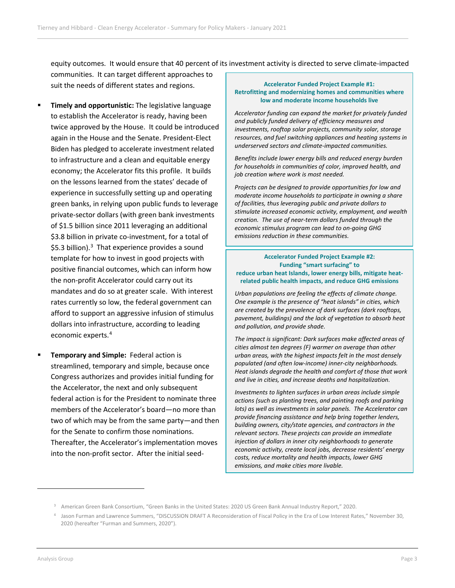equity outcomes. It would ensure that 40 percent of its investment activity is directed to serve climate-impacted communities. It can target different approaches to suit the needs of different states and regions.

- **Timely and opportunistic:** The legislative language to establish the Accelerator is ready, having been twice approved by the House. It could be introduced again in the House and the Senate. President-Elect Biden has pledged to accelerate investment related to infrastructure and a clean and equitable energy economy; the Accelerator fits this profile. It builds on the lessons learned from the states' decade of experience in successfully setting up and operating green banks, in relying upon public funds to leverage private-sector dollars (with green bank investments of \$1.5 billion since 2011 leveraging an additional \$3.8 billion in private co-investment, for a total of \$5.[3](#page-3-0) billion). $3$  That experience provides a sound template for how to invest in good projects with positive financial outcomes, which can inform how the non-profit Accelerator could carry out its mandates and do so at greater scale. With interest rates currently so low, the federal government can afford to support an aggressive infusion of stimulus dollars into infrastructure, according to leading economic experts.[4](#page-3-1)
- **Temporary and Simple:** Federal action is streamlined, temporary and simple, because once Congress authorizes and provides initial funding for the Accelerator, the next and only subsequent federal action is for the President to nominate three members of the Accelerator's board—no more than two of which may be from the same party—and then for the Senate to confirm those nominations. Thereafter, the Accelerator's implementation moves into the non-profit sector. After the initial seed-

#### **Accelerator Funded Project Example #1: Retrofitting and modernizing homes and communities where low and moderate income households live**

*Accelerator funding can expand the market for privately funded and publicly funded delivery of efficiency measures and investments, rooftop solar projects, community solar, storage resources, and fuel switching appliances and heating systems in underserved sectors and climate-impacted communities.* 

*Benefits include lower energy bills and reduced energy burden for households in communities of color, improved health, and job creation where work is most needed.* 

*Projects can be designed to provide opportunities for low and moderate income households to participate in owning a share of facilities, thus leveraging public and private dollars to stimulate increased economic activity, employment, and wealth creation. The use of near-term dollars funded through the economic stimulus program can lead to on-going GHG emissions reduction in these communities.*

#### **Accelerator Funded Project Example #2: Funding "smart surfacing" to reduce urban heat Islands, lower energy bills, mitigate heatrelated public health impacts, and reduce GHG emissions**

*Urban populations are feeling the effects of climate change. One example is the presence of "heat islands" in cities, which are created by the prevalence of dark surfaces (dark rooftops, pavement, buildings) and the lack of vegetation to absorb heat and pollution, and provide shade.* 

*The impact is significant: Dark surfaces make affected areas of cities almost ten degrees (F) warmer on average than other urban areas, with the highest impacts felt in the most densely populated (and often low-income) inner-city neighborhoods. Heat islands degrade the health and comfort of those that work and live in cities, and increase deaths and hospitalization.* 

*Investments to lighten surfaces in urban areas include simple actions (such as planting trees, and painting roofs and parking lots) as well as investments in solar panels. The Accelerator can provide financing assistance and help bring together lenders, building owners, city/state agencies, and contractors in the relevant sectors. These projects can provide an immediate injection of dollars in inner city neighborhoods to generate economic activity, create local jobs, decrease residents' energy costs, reduce mortality and health impacts, lower GHG emissions, and make cities more livable.*

<span id="page-3-1"></span><span id="page-3-0"></span>

<sup>3</sup> American Green Bank Consortium, "Green Banks in the United States: 2020 US Green Bank Annual Industry Report," 2020.

<sup>4</sup> Jason Furman and Lawrence Summers, "DISCUSSION DRAFT A Reconsideration of Fiscal Policy in the Era of Low Interest Rates," November 30, 2020 (hereafter "Furman and Summers, 2020").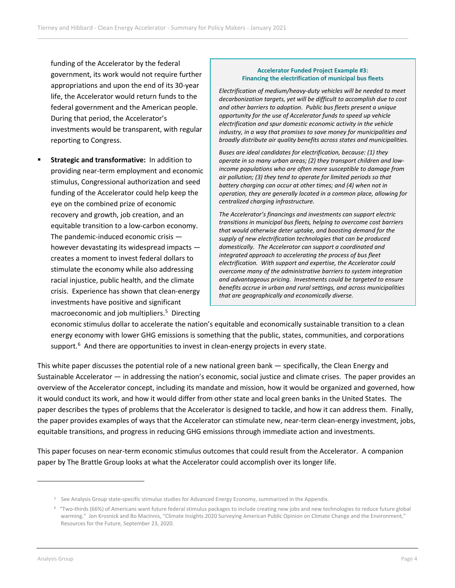funding of the Accelerator by the federal government, its work would not require further appropriations and upon the end of its 30-year life, the Accelerator would return funds to the federal government and the American people. During that period, the Accelerator's investments would be transparent, with regular reporting to Congress.

 **Strategic and transformative:** In addition to providing near-term employment and economic stimulus, Congressional authorization and seed funding of the Accelerator could help keep the eye on the combined prize of economic recovery and growth, job creation, and an equitable transition to a low-carbon economy. The pandemic-induced economic crisis however devastating its widespread impacts creates a moment to invest federal dollars to stimulate the economy while also addressing racial injustice, public health, and the climate crisis. Experience has shown that clean-energy investments have positive and significant macroeconomic and job multipliers. [5](#page-4-0) Directing

#### **Accelerator Funded Project Example #3: Financing the electrification of municipal bus fleets**

*Electrification of medium/heavy-duty vehicles will be needed to meet decarbonization targets, yet will be difficult to accomplish due to cost and other barriers to adoption. Public bus fleets present a unique opportunity for the use of Accelerator funds to speed up vehicle electrification and spur domestic economic activity in the vehicle industry, in a way that promises to save money for municipalities and broadly distribute air quality benefits across states and municipalities.* 

*Buses are ideal candidates for electrification, because: (1) they operate in so many urban areas; (2) they transport children and lowincome populations who are often more susceptible to damage from air pollution; (3) they tend to operate for limited periods so that battery charging can occur at other times; and (4) when not in operation, they are generally located in a common place, allowing for centralized charging infrastructure.*

*The Accelerator's financings and investments can support electric transitions in municipal bus fleets, helping to overcome cost barriers that would otherwise deter uptake, and boosting demand for the supply of new electrification technologies that can be produced domestically. The Accelerator can support a coordinated and integrated approach to accelerating the process of bus fleet electrification. With support and expertise, the Accelerator could overcome many of the administrative barriers to system integration and advantageous pricing. Investments could be targeted to ensure benefits accrue in urban and rural settings, and across municipalities that are geographically and economically diverse.* 

economic stimulus dollar to accelerate the nation's equitable and economically sustainable transition to a clean energy economy with lower GHG emissions is something that the public, states, communities, and corporations support.<sup>[6](#page-4-1)</sup> And there are opportunities to invest in clean-energy projects in every state.

This white paper discusses the potential role of a new national green bank — specifically, the Clean Energy and Sustainable Accelerator — in addressing the nation's economic, social justice and climate crises. The paper provides an overview of the Accelerator concept, including its mandate and mission, how it would be organized and governed, how it would conduct its work, and how it would differ from other state and local green banks in the United States. The paper describes the types of problems that the Accelerator is designed to tackle, and how it can address them. Finally, the paper provides examples of ways that the Accelerator can stimulate new, near-term clean-energy investment, jobs, equitable transitions, and progress in reducing GHG emissions through immediate action and investments.

This paper focuses on near-term economic stimulus outcomes that could result from the Accelerator. A companion paper by The Brattle Group looks at what the Accelerator could accomplish over its longer life.

<span id="page-4-1"></span><span id="page-4-0"></span> $\overline{a}$ 

<sup>5</sup> See Analysis Group state-specific stimulus studies for Advanced Energy Economy, summarized in the Appendix.

 $6$  "Two-thirds (66%) of Americans want future federal stimulus packages to include creating new jobs and new technologies to reduce future global warming." Jon Krosnick and Bo MacInnis, "Climate Insights 2020 Surveying American Public Opinion on Climate Change and the Environment," Resources for the Future, September 23, 2020.